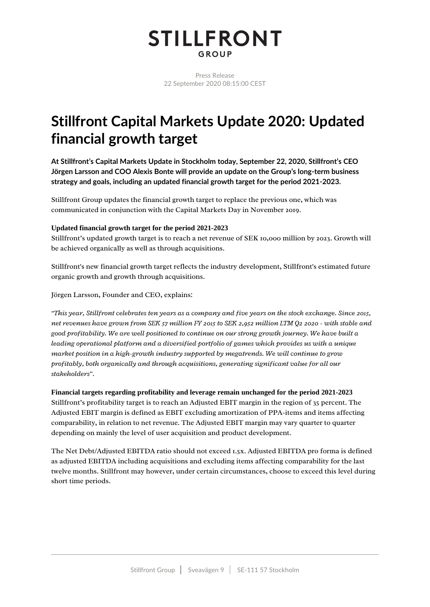# **STILLFRONT** GROUP

Press Release 22 September 2020 08:15:00 CEST

# **Stillfront Capital Markets Update 2020: Updated** financial growth target

At Stillfront's Capital Markets Update in Stockholm today, September 22, 2020, Stillfront's CEO Jörgen Larsson and COO Alexis Bonte will provide an update on the Group's long-term business strategy and goals, including an updated financial growth target for the period 2021-2023.

Stillfront Group updates the financial growth target to replace the previous one, which was communicated in conjunction with the Capital Markets Day in November 2019.

# Updated financial growth target for the period 2021-2023

Stillfront's updated growth target is to reach a net revenue of SEK 10,000 million by 2023. Growth will be achieved organically as well as through acquisitions.

Stillfront's new financial growth target reflects the industry development, Stillfront's estimated future organic growth and growth through acquisitions.

Jörgen Larsson, Founder and CEO, explains:

"This year, Stillfront celebrates ten years as a company and five years on the stock exchange. Since 2015, net revenues have grown from SEK 57 million FY 2015 to SEK 2,952 million LTM Q2 2020 - with stable and good profitability. We are well positioned to continue on our strong growth journey. We have built a leading operational platform and a diversified portfolio of games which provides us with a unique market position in a high-growth industry supported by megatrends. We will continue to grow profitably, both organically and through acquisitions, generating significant value for all our stakeholders".

Financial targets regarding profitability and leverage remain unchanged for the period 2021-2023 Stillfront's profitability target is to reach an Adjusted EBIT margin in the region of 35 percent. The Adjusted EBIT margin is defined as EBIT excluding amortization of PPA-items and items affecting comparability, in relation to net revenue. The Adjusted EBIT margin may vary quarter to quarter depending on mainly the level of user acquisition and product development.

The Net Debt/Adjusted EBITDA ratio should not exceed 1.5x. Adjusted EBITDA pro forma is defined as adjusted EBITDA including acquisitions and excluding items affecting comparability for the last twelve months. Stillfront may however, under certain circumstances, choose to exceed this level during short time periods.